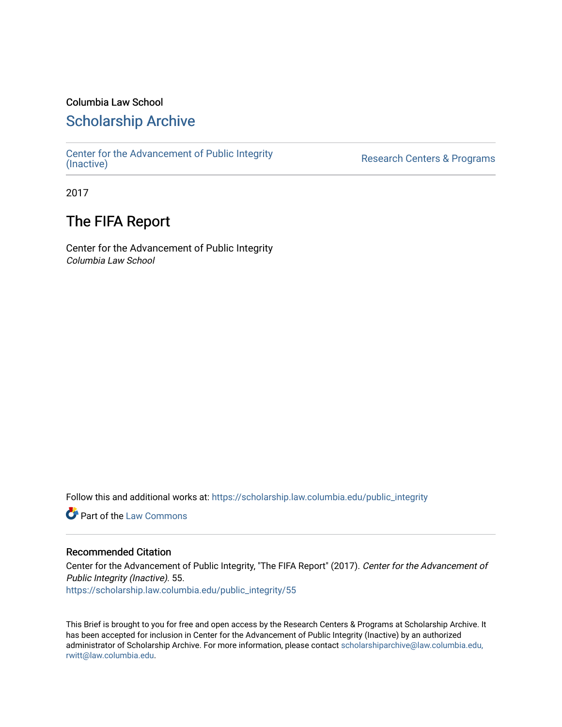### Columbia Law School

### [Scholarship Archive](https://scholarship.law.columbia.edu/)

[Center for the Advancement of Public Integrity](https://scholarship.law.columbia.edu/public_integrity)<br>(Inactive)

Research Centers & Programs

2017

## The FIFA Report

Center for the Advancement of Public Integrity Columbia Law School

Follow this and additional works at: [https://scholarship.law.columbia.edu/public\\_integrity](https://scholarship.law.columbia.edu/public_integrity?utm_source=scholarship.law.columbia.edu%2Fpublic_integrity%2F55&utm_medium=PDF&utm_campaign=PDFCoverPages)

**Part of the [Law Commons](http://network.bepress.com/hgg/discipline/578?utm_source=scholarship.law.columbia.edu%2Fpublic_integrity%2F55&utm_medium=PDF&utm_campaign=PDFCoverPages)** 

### Recommended Citation

Center for the Advancement of Public Integrity, "The FIFA Report" (2017). Center for the Advancement of Public Integrity (Inactive). 55. [https://scholarship.law.columbia.edu/public\\_integrity/55](https://scholarship.law.columbia.edu/public_integrity/55?utm_source=scholarship.law.columbia.edu%2Fpublic_integrity%2F55&utm_medium=PDF&utm_campaign=PDFCoverPages) 

This Brief is brought to you for free and open access by the Research Centers & Programs at Scholarship Archive. It has been accepted for inclusion in Center for the Advancement of Public Integrity (Inactive) by an authorized administrator of Scholarship Archive. For more information, please contact [scholarshiparchive@law.columbia.edu,](mailto:scholarshiparchive@law.columbia.edu,%20rwitt@law.columbia.edu)  [rwitt@law.columbia.edu.](mailto:scholarshiparchive@law.columbia.edu,%20rwitt@law.columbia.edu)